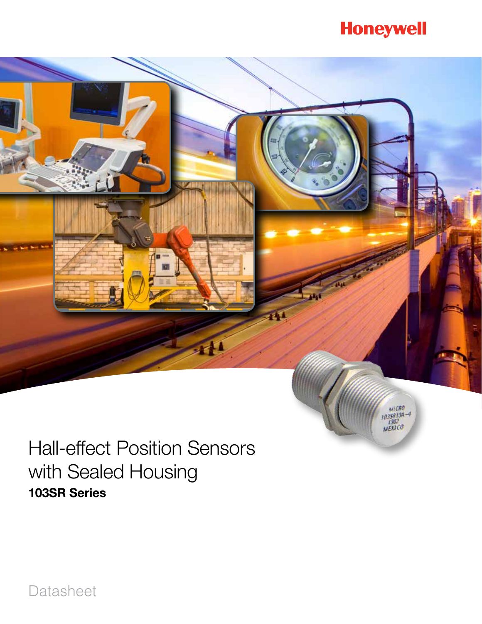# **Honeywell**



Hall-effect Position Sensors with Sealed Housing 103SR Series

Datasheet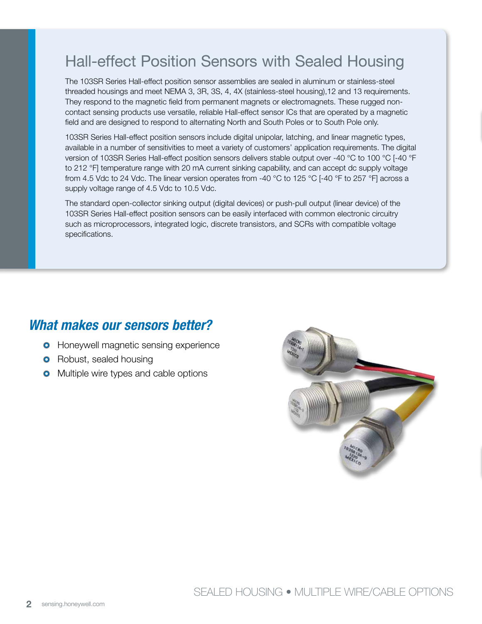The 103SR Series Hall-effect position sensor assemblies are sealed in aluminum or stainless-steel threaded housings and meet NEMA 3, 3R, 3S, 4, 4X (stainless-steel housing),12 and 13 requirements. They respond to the magnetic field from permanent magnets or electromagnets. These rugged noncontact sensing products use versatile, reliable Hall-effect sensor ICs that are operated by a magnetic field and are designed to respond to alternating North and South Poles or to South Pole only.

103SR Series Hall-effect position sensors include digital unipolar, latching, and linear magnetic types, available in a number of sensitivities to meet a variety of customers' application requirements. The digital version of 103SR Series Hall-effect position sensors delivers stable output over -40 °C to 100 °C [-40 °F to 212 °F] temperature range with 20 mA current sinking capability, and can accept dc supply voltage from 4.5 Vdc to 24 Vdc. The linear version operates from -40 °C to 125 °C [-40 °F to 257 °F] across a supply voltage range of 4.5 Vdc to 10.5 Vdc.

The standard open-collector sinking output (digital devices) or push-pull output (linear device) of the 103SR Series Hall-effect position sensors can be easily interfaced with common electronic circuitry such as microprocessors, integrated logic, discrete transistors, and SCRs with compatible voltage specifications.

### *What makes our sensors better?*

- **O** Honeywell magnetic sensing experience
- **O** Robust, sealed housing
- **O** Multiple wire types and cable options

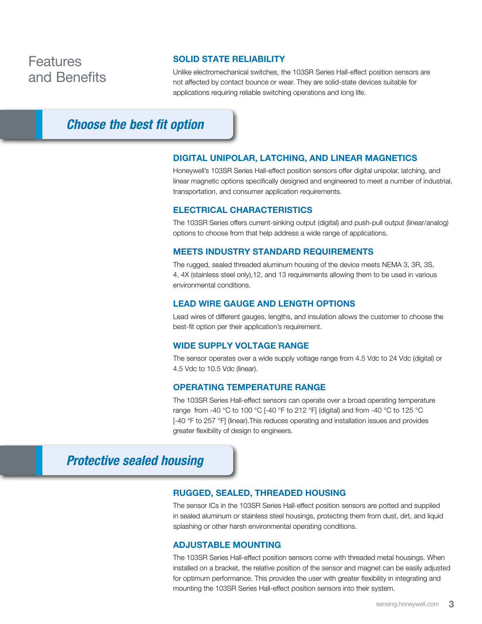### Features and Benefits

### SOLID STATE RELIABILITY

Unlike electromechanical switches, the 103SR Series Hall-effect position sensors are not affected by contact bounce or wear. They are solid-state devices suitable for applications requiring reliable switching operations and long life.

### *Choose the best fit option*

#### DIGITAL UNIPOLAR, LATCHING, AND LINEAR MAGNETICS

Honeywell's 103SR Series Hall-effect position sensors offer digital unipolar, latching, and linear magnetic options specifically designed and engineered to meet a number of industrial, transportation, and consumer application requirements.

#### ELECTRICAL CHARACTERISTICS

The 103SR Series offers current-sinking output (digital) and push-pull output (linear/analog) options to choose from that help address a wide range of applications.

#### MEETS INDUSTRY STANDARD REQUIREMENTS

The rugged, sealed threaded aluminum housing of the device meets NEMA 3, 3R, 3S, 4, 4X (stainless steel only),12, and 13 requirements allowing them to be used in various environmental conditions.

#### LEAD WIRE GAUGE AND LENGTH OPTIONS

Lead wires of different gauges, lengths, and insulation allows the customer to choose the best-fit option per their application's requirement.

#### WIDE SUPPLY VOLTAGE RANGE

The sensor operates over a wide supply voltage range from 4.5 Vdc to 24 Vdc (digital) or 4.5 Vdc to 10.5 Vdc (linear).

#### OPERATING TEMPERATURE RANGE

The 103SR Series Hall-effect sensors can operate over a broad operating temperature range from -40 °C to 100 °C [-40 °F to 212 °F] (digital) and from -40 °C to 125 °C [-40 °F to 257 °F] (linear). This reduces operating and installation issues and provides greater flexibility of design to engineers.

### *Protective sealed housing*

### RUGGED, SEALED, THREADED HOUSING

The sensor ICs in the 103SR Series Hall-effect position sensors are potted and supplied in sealed aluminum or stainless steel housings, protecting them from dust, dirt, and liquid splashing or other harsh environmental operating conditions.

#### ADJUSTABLE MOUNTING

The 103SR Series Hall-effect position sensors come with threaded metal housings. When installed on a bracket, the relative position of the sensor and magnet can be easily adjusted for optimum performance. This provides the user with greater flexibility in integrating and mounting the 103SR Series Hall-effect position sensors into their system.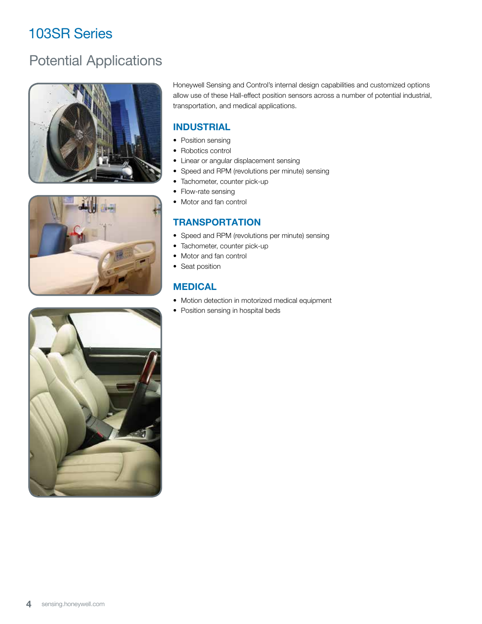# Potential Applications







Honeywell Sensing and Control's internal design capabilities and customized options allow use of these Hall-effect position sensors across a number of potential industrial, transportation, and medical applications.

### INDUSTRIAL

- Position sensing
- Robotics control
- Linear or angular displacement sensing
- Speed and RPM (revolutions per minute) sensing
- Tachometer, counter pick-up
- Flow-rate sensing
- Motor and fan control

### **TRANSPORTATION**

- Speed and RPM (revolutions per minute) sensing
- Tachometer, counter pick-up
- Motor and fan control
- Seat position

### MEDICAL

- Motion detection in motorized medical equipment
- Position sensing in hospital beds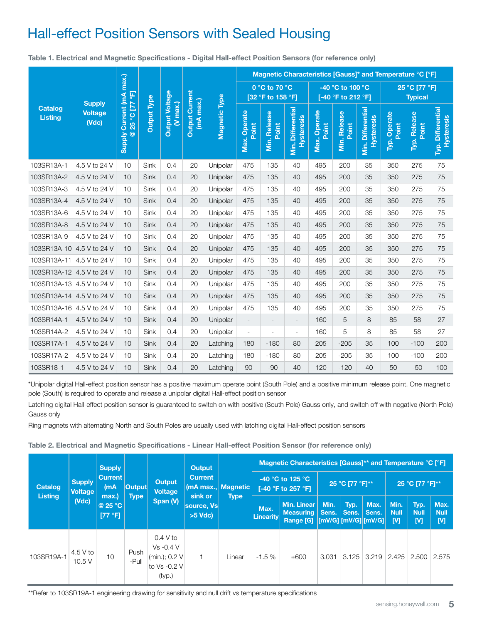Table 1. Electrical and Magnetic Specifications - Digital Hall-effect Position Sensors (for reference only)

|                                                                                                                                                                                                                                                                                                                                                                                                                                                                                                                                                           |                                               |                          |                 |                                                  |                                    |               |                                    |                              |                                        | Magnetic Characteristics [Gauss]* and Temperature °C [°F] |                                        |                                               |                       |                                 |                                 |  |
|-----------------------------------------------------------------------------------------------------------------------------------------------------------------------------------------------------------------------------------------------------------------------------------------------------------------------------------------------------------------------------------------------------------------------------------------------------------------------------------------------------------------------------------------------------------|-----------------------------------------------|--------------------------|-----------------|--------------------------------------------------|------------------------------------|---------------|------------------------------------|------------------------------|----------------------------------------|-----------------------------------------------------------|----------------------------------------|-----------------------------------------------|-----------------------|---------------------------------|---------------------------------|--|
|                                                                                                                                                                                                                                                                                                                                                                                                                                                                                                                                                           |                                               |                          |                 | Output Voltage<br><b>Output Type</b><br>(V max.) | <b>Output Current</b><br>(mA max.) | Magnetic Type | 0 °C to 70 °C<br>[32 °F to 158 °F] |                              |                                        |                                                           | -40 °C to 100 °C<br>[-40 °F to 212 °F] |                                               |                       | 25 °C [77 °F]<br><b>Typical</b> |                                 |  |
| <b>Catalog</b><br><b>Listing</b>                                                                                                                                                                                                                                                                                                                                                                                                                                                                                                                          | <b>Supply</b><br><b>Voltage</b><br>$($ $Vdc)$ | Supply Current (mA max.) | @ 25 °C [77 °F] |                                                  |                                    |               | Max. Operate<br>Point              | <b>Min. Release</b><br>Point | Min. Differential<br><b>Hysteresis</b> | Max. Operate<br>Point                                     | <b>Min. Release</b><br>Point           | <b>Min. Differential</b><br><b>Hysteresis</b> | Typ. Operate<br>Point | Typ. Release<br>Point           | Typ. Differential<br>Hysteresis |  |
| 103SR13A-1                                                                                                                                                                                                                                                                                                                                                                                                                                                                                                                                                | 4.5 V to 24 V                                 | 10                       | Sink            | 0.4                                              | 20                                 | Unipolar      | 475                                | 135                          | 40                                     | 495                                                       | 200                                    | 35                                            | 350                   | 275                             | 75                              |  |
| 103SR13A-2                                                                                                                                                                                                                                                                                                                                                                                                                                                                                                                                                | 4.5 V to 24 V                                 | 10                       | Sink            | 0.4                                              | 20                                 | Unipolar      | 475                                | 135                          | 40                                     | 495                                                       | 200                                    | 35                                            | 350                   | 275                             | 75                              |  |
| 103SR13A-3                                                                                                                                                                                                                                                                                                                                                                                                                                                                                                                                                | 4.5 V to 24 V                                 | 10                       | Sink            | 0.4                                              | 20                                 | Unipolar      | 475                                | 135                          | 40                                     | 495                                                       | 200                                    | 35                                            | 350                   | 275                             | 75                              |  |
| 103SR13A-4                                                                                                                                                                                                                                                                                                                                                                                                                                                                                                                                                | 4.5 V to 24 V                                 | 10                       | Sink            | 0.4                                              | 20                                 | Unipolar      | 475                                | 135                          | 40                                     | 495                                                       | 200                                    | 35                                            | 350                   | 275                             | 75                              |  |
| 103SR13A-6                                                                                                                                                                                                                                                                                                                                                                                                                                                                                                                                                | 4.5 V to 24 V                                 | 10                       | Sink            | 0.4                                              | 20                                 | Unipolar      | 475                                | 135                          | 40                                     | 495                                                       | 200                                    | 35                                            | 350                   | 275                             | 75                              |  |
| 103SR13A-8                                                                                                                                                                                                                                                                                                                                                                                                                                                                                                                                                | 4.5 V to 24 V                                 | 10                       | Sink            | 0.4                                              | 20                                 | Unipolar      | 475                                | 135                          | 40                                     | 495                                                       | 200                                    | 35                                            | 350                   | 275                             | 75                              |  |
| 103SR13A-9                                                                                                                                                                                                                                                                                                                                                                                                                                                                                                                                                | 4.5 V to 24 V                                 | 10                       | Sink            | 0.4                                              | 20                                 | Unipolar      | 475                                | 135                          | 40                                     | 495                                                       | 200                                    | 35                                            | 350                   | 275                             | 75                              |  |
| 103SR13A-10 4.5 V to 24 V                                                                                                                                                                                                                                                                                                                                                                                                                                                                                                                                 |                                               | 10                       | Sink            | 0.4                                              | 20                                 | Unipolar      | 475                                | 135                          | 40                                     | 495                                                       | 200                                    | 35                                            | 350                   | 275                             | 75                              |  |
| 103SR13A-11 4.5 V to 24 V                                                                                                                                                                                                                                                                                                                                                                                                                                                                                                                                 |                                               | 10                       | Sink            | 0.4                                              | 20                                 | Unipolar      | 475                                | 135                          | 40                                     | 495                                                       | 200                                    | 35                                            | 350                   | 275                             | 75                              |  |
| 103SR13A-12 4.5 V to 24 V                                                                                                                                                                                                                                                                                                                                                                                                                                                                                                                                 |                                               | 10                       | Sink            | 0.4                                              | 20                                 | Unipolar      | 475                                | 135                          | 40                                     | 495                                                       | 200                                    | 35                                            | 350                   | 275                             | 75                              |  |
| 103SR13A-13 4.5 V to 24 V                                                                                                                                                                                                                                                                                                                                                                                                                                                                                                                                 |                                               | 10                       | Sink            | 0.4                                              | 20                                 | Unipolar      | 475                                | 135                          | 40                                     | 495                                                       | 200                                    | 35                                            | 350                   | 275                             | 75                              |  |
| 103SR13A-14 4.5 V to 24 V                                                                                                                                                                                                                                                                                                                                                                                                                                                                                                                                 |                                               | 10                       | Sink            | 0.4                                              | 20                                 | Unipolar      | 475                                | 135                          | 40                                     | 495                                                       | 200                                    | 35                                            | 350                   | 275                             | 75                              |  |
| 103SR13A-16 4.5 V to 24 V                                                                                                                                                                                                                                                                                                                                                                                                                                                                                                                                 |                                               | 10                       | Sink            | 0.4                                              | 20                                 | Unipolar      | 475                                | 135                          | 40                                     | 495                                                       | 200                                    | 35                                            | 350                   | 275                             | 75                              |  |
| 103SR14A-1                                                                                                                                                                                                                                                                                                                                                                                                                                                                                                                                                | 4.5 V to 24 V                                 | 10                       | Sink            | 0.4                                              | 20                                 | Unipolar      | $\overline{\phantom{a}}$           | $\blacksquare$               | $\overline{\phantom{a}}$               | 160                                                       | 5                                      | 8                                             | 85                    | 58                              | 27                              |  |
| 103SR14A-2                                                                                                                                                                                                                                                                                                                                                                                                                                                                                                                                                | 4.5 V to 24 V                                 | 10                       | Sink            | 0.4                                              | 20                                 | Unipolar      | $\Box$                             | ä,                           | $\Box$                                 | 160                                                       | 5                                      | 8                                             | 85                    | 58                              | 27                              |  |
| 103SR17A-1                                                                                                                                                                                                                                                                                                                                                                                                                                                                                                                                                | 4.5 V to 24 V                                 | 10                       | Sink            | 0.4                                              | 20                                 | Latching      | 180                                | $-180$                       | 80                                     | 205                                                       | $-205$                                 | 35                                            | 100                   | $-100$                          | 200                             |  |
| 103SR17A-2                                                                                                                                                                                                                                                                                                                                                                                                                                                                                                                                                | 4.5 V to 24 V                                 | 10                       | Sink            | 0.4                                              | 20                                 | Latching      | 180                                | $-180$                       | 80                                     | 205                                                       | $-205$                                 | 35                                            | 100                   | $-100$                          | 200                             |  |
| 103SR18-1                                                                                                                                                                                                                                                                                                                                                                                                                                                                                                                                                 | 4.5 V to 24 V                                 | 10                       | Sink            | 0.4                                              | 20                                 | Latching      | 90                                 | $-90$                        | 40                                     | 120                                                       | $-120$                                 | 40                                            | 50                    | $-50$                           | 100                             |  |
| *Unipolar digital Hall-effect position sensor has a positive maximum operate point (South Pole) and a positive minimum release point. One magnetic<br>pole (South) is required to operate and release a unipolar digital Hall-effect position sensor<br>Latching digital Hall-effect position sensor is guaranteed to switch on with positive (South Pole) Gauss only, and switch off with negative (North Pole)<br>Gauss only<br>Ring magnets with alternating North and South Poles are usually used with latching digital Hall-effect position sensors |                                               |                          |                 |                                                  |                                    |               |                                    |                              |                                        |                                                           |                                        |                                               |                       |                                 |                                 |  |

Table 2. Electrical and Magnetic Specifications - Linear Hall-effect Position Sensor (for reference only)

| <b>Catalog</b><br><b>Listing</b> | <b>Supply</b><br><b>Voltage</b><br>(Vdc) | <b>Supply</b><br><b>Current</b><br>(mA<br>max.)<br>@ 25 $^{\circ}$ C<br>[77 °F] |               | <b>Output</b><br><b>Current</b><br><b>Output</b><br><b>Voltage</b><br>sink or<br>Span (V)<br>source, Vs<br>$>5$ Vdc) |                                       |                                                            | <b>Magnetic Characteristics [Gauss]** and Temperature °C [°F]</b> |                                                                        |               |               |                          |                          |                          |       |
|----------------------------------|------------------------------------------|---------------------------------------------------------------------------------|---------------|----------------------------------------------------------------------------------------------------------------------|---------------------------------------|------------------------------------------------------------|-------------------------------------------------------------------|------------------------------------------------------------------------|---------------|---------------|--------------------------|--------------------------|--------------------------|-------|
|                                  |                                          |                                                                                 | <b>Output</b> |                                                                                                                      | (mA max.,   Magnetic  <br><b>Type</b> | -40 $^{\circ}$ C to 125 $^{\circ}$ C<br>[-40 °F to 257 °F] |                                                                   | 25 °C [77 °F]**                                                        |               |               | 25 °C [77 °F]**          |                          |                          |       |
|                                  |                                          |                                                                                 | <b>Type</b>   |                                                                                                                      |                                       | Max.<br>Linearity                                          | <b>Min. Linear</b><br><b>Measuring Sens.</b><br><b>Range [G]</b>  | Min.<br>$\frac{1}{2}$ [mV/G] $\frac{1}{2}$ [mV/G] $\frac{1}{2}$ [mV/G] | Typ.<br>Sens. | Max.<br>Sens. | Min.<br><b>Null</b><br>M | Typ.<br><b>Null</b><br>M | Max.<br><b>Null</b><br>M |       |
| 103SR19A-1                       | $4.5V$ to<br>10.5V                       | 10                                                                              | Push<br>-Pull | 0.4 V to<br>$Vs - 0.4 V$<br>(min.); 0.2 V<br>to Vs -0.2 V<br>(typ.)                                                  | 1                                     | Linear                                                     | $-1.5%$                                                           | ±600                                                                   | 3.031         | 3.125         | 3.219                    | 2.425                    | 2.500                    | 2.575 |

\*\*Refer to 103SR19A-1 engineering drawing for sensitivity and null drift vs temperature specifications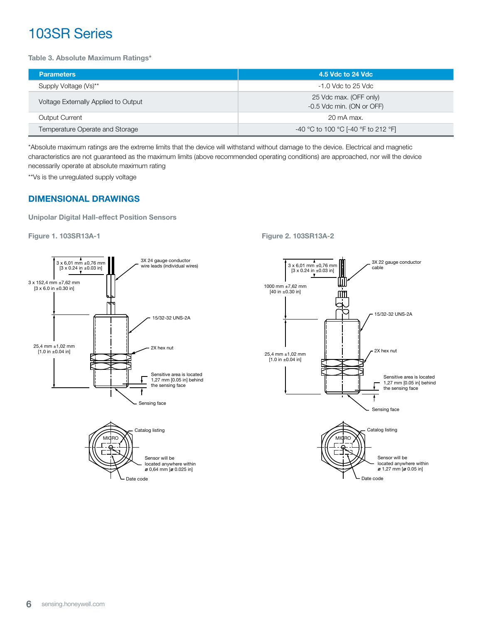Table 3. Absolute Maximum Ratings\*

| <b>Parameters</b>                    | 4.5 Vdc to 24 Vdc                                   |  |  |  |  |
|--------------------------------------|-----------------------------------------------------|--|--|--|--|
| Supply Voltage (Vs)**                | $-1.0$ Vdc to 25 Vdc                                |  |  |  |  |
| Voltage Externally Applied to Output | 25 Vdc max. (OFF only)<br>-0.5 Vdc min. (ON or OFF) |  |  |  |  |
| <b>Output Current</b>                | 20 mA max.                                          |  |  |  |  |
| Temperature Operate and Storage      | -40 °C to 100 °C [-40 °F to 212 °F]                 |  |  |  |  |

\*Absolute maximum ratings are the extreme limits that the device will withstand without damage to the device. Electrical and magnetic characteristics are not guaranteed as the maximum limits (above recommended operating conditions) are approached, nor will the device necessarily operate at absolute maximum rating

\*\*Vs is the unregulated supply voltage

### DIMENSIONAL DRAWINGS

Unipolar Digital Hall-effect Position Sensors

Figure 1. 103SR13A-1 Figure 2. 103SR13A-2



Date code

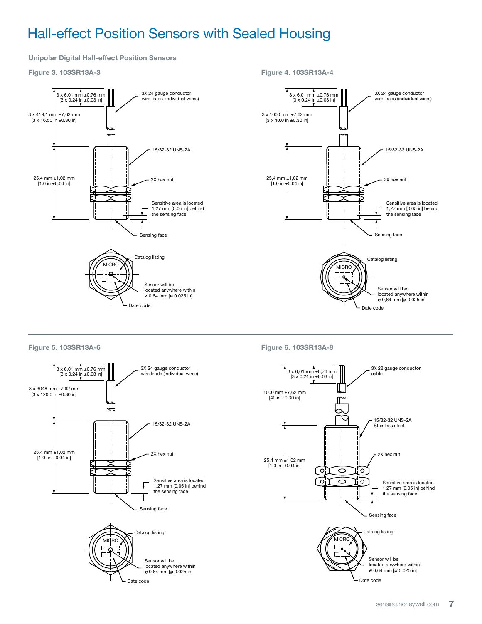Unipolar Digital Hall-effect Position Sensors

Figure 3. 103SR13A-3



Figure 4. 103SR13A-4

Figure 6. 103SR13A-8

Figure 5. 103SR13A-6

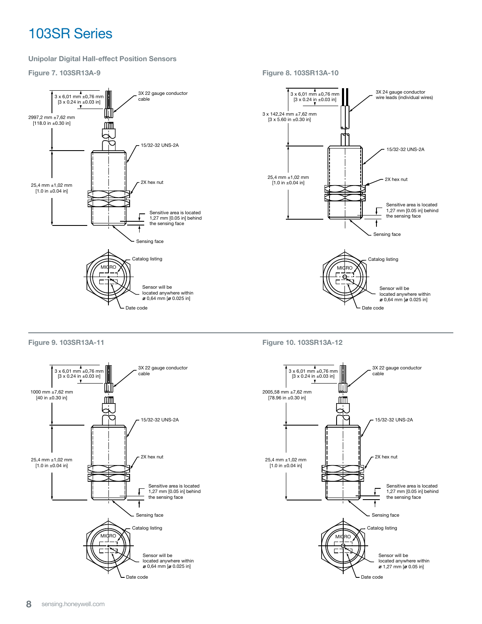#### Unipolar Digital Hall-effect Position Sensors

Figure 7. 103SR13A-9

Figure 8. 103SR13A-10



Figure 9. 103SR13A-11



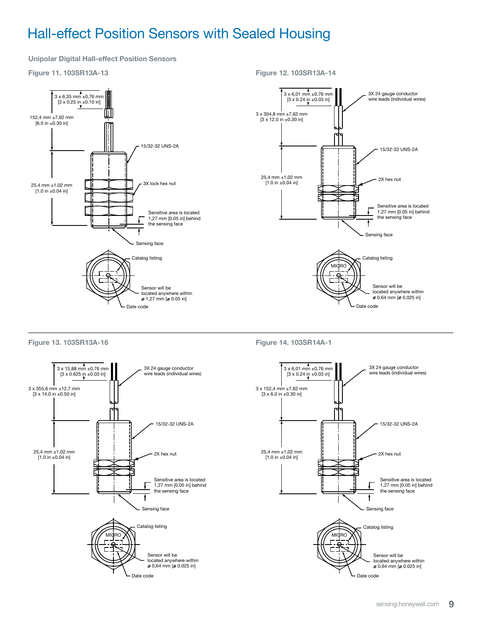Unipolar Digital Hall-effect Position Sensors

Ш

#### Figure 11. 103SR13A-13

152,4 mm ±7,62 mm [6.0 in ±0.30 in]

3 x 6,35 mm ±0,76 mm [3 x 0.25 in ±0.10 in]

# 3 x 6,01 mm ±0,76 mm [3 x 0.24 in ±0.03 in] 3 x 304,8 mm ±7,62 mm [3 x 12.0 in ±0.30 in] 25,4 mm ±1,02 mm  $[1.0 \text{ in } \pm 0.04 \text{ in}]$

Figure 12. 103SR13A-14





Figure 14. 103SR14A-1

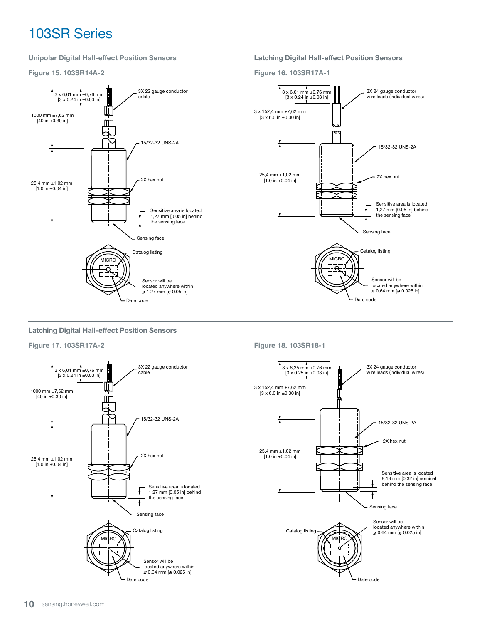Unipolar Digital Hall-effect Position Sensors

Figure 15. 103SR14A-2



Latching Digital Hall-effect Position Sensors

Figure 16. 103SR17A-1



Latching Digital Hall-effect Position Sensors

Figure 17. 103SR17A-2



Figure 18. 103SR18-1

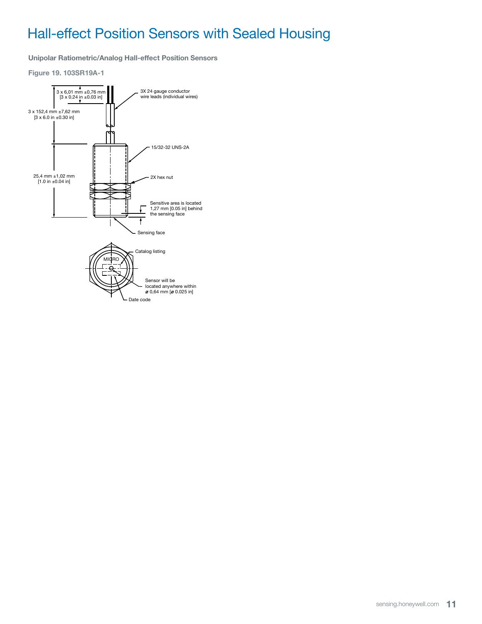Unipolar Ratiometric/Analog Hall-effect Position Sensors

Figure 19. 103SR19A-1

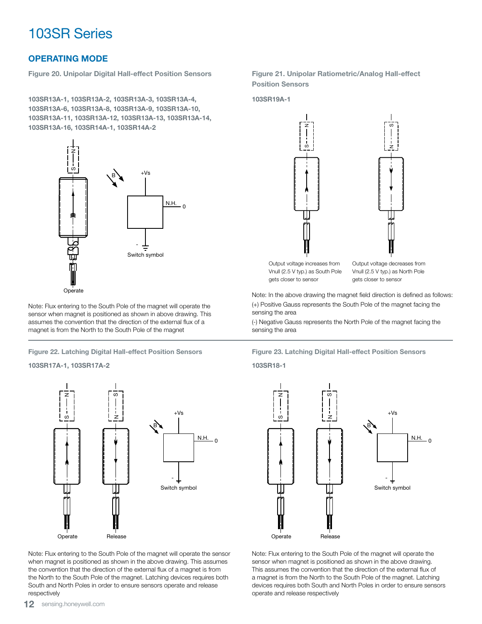### OPERATING MODE

Figure 20. Unipolar Digital Hall-effect Position Sensors

103SR13A-1, 103SR13A-2, 103SR13A-3, 103SR13A-4, 103SR13A-6, 103SR13A-8, 103SR13A-9, 103SR13A-10, 103SR13A-11, 103SR13A-12, 103SR13A-13, 103SR13A-14, 103SR13A-16, 103SR14A-1, 103SR14A-2



Note: Flux entering to the South Pole of the magnet will operate the sensor when magnet is positioned as shown in above drawing. This assumes the convention that the direction of the external flux of a magnet is from the North to the South Pole of the magnet

#### 103SR17A-1, 103SR17A-2 103SR18-1



Note: Flux entering to the South Pole of the magnet will operate the sensor when magnet is positioned as shown in the above drawing. This assumes the convention that the direction of the external flux of a magnet is from the North to the South Pole of the magnet. Latching devices requires both South and North Poles in order to ensure sensors operate and release respectively

#### Figure 21. Unipolar Ratiometric/Analog Hall-effect Position Sensors

103SR19A-1



Output voltage increases from Vnull (2.5 V typ.) as South Pole gets closer to sensor

Output voltage decreases from Vnull (2.5 V typ.) as North Pole gets closer to sensor

z S |<br>|-<br>|-

Note: In the above drawing the magnet field direction is defined as follows: (+) Positive Gauss represents the South Pole of the magnet facing the sensing the area

(-) Negative Gauss represents the North Pole of the magnet facing the sensing the area





Note: Flux entering to the South Pole of the magnet will operate the sensor when magnet is positioned as shown in the above drawing. This assumes the convention that the direction of the external flux of a magnet is from the North to the South Pole of the magnet. Latching devices requires both South and North Poles in order to ensure sensors operate and release respectively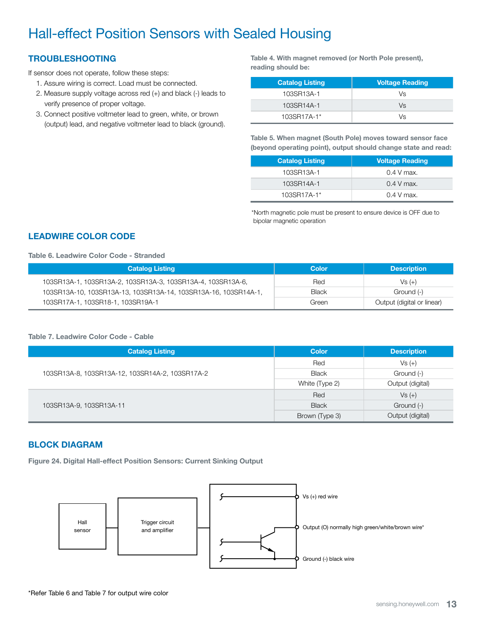### TROUBLESHOOTING

If sensor does not operate, follow these steps:

- 1. Assure wiring is correct. Load must be connected.
- 2. Measure supply voltage across red (+) and black (-) leads to verify presence of proper voltage.
- 3. Connect positive voltmeter lead to green, white, or brown (output) lead, and negative voltmeter lead to black (ground).

Table 4. With magnet removed (or North Pole present), reading should be:

| <b>Catalog Listing</b> | <b>Voltage Reading</b> |
|------------------------|------------------------|
| 103SR13A-1             | Vs                     |
| 103SR14A-1             | Vs                     |
| 103SR17A-1*            | Vs                     |

Table 5. When magnet (South Pole) moves toward sensor face (beyond operating point), output should change state and read:

| <b>Catalog Listing</b> | <b>Voltage Reading</b> |
|------------------------|------------------------|
| 103SR13A-1             | $0.4$ V max.           |
| 103SR14A-1             | $0.4$ V max.           |
| 103SR17A-1*            | $0.4$ V max.           |

\*North magnetic pole must be present to ensure device is OFF due to bipolar magnetic operation

### LEADWIRE COLOR CODE

#### Table 6. Leadwire Color Code - Stranded

| <b>Catalog Listing</b>                                          | <b>Color</b> | <b>Description</b>         |
|-----------------------------------------------------------------|--------------|----------------------------|
| 103SR13A-1, 103SR13A-2, 103SR13A-3, 103SR13A-4, 103SR13A-6,     | Red          | $Vs (+)$                   |
| 103SR13A-10, 103SR13A-13, 103SR13A-14, 103SR13A-16, 103SR14A-1, | Black        | Ground (-)                 |
| 103SR17A-1, 103SR18-1, 103SR19A-1                               | Green        | Output (digital or linear) |

#### Table 7. Leadwire Color Code - Cable

| <b>Catalog Listing</b>                          | <b>Color</b>   | <b>Description</b> |  |
|-------------------------------------------------|----------------|--------------------|--|
|                                                 | Red            | $Vs (+)$           |  |
| 103SR13A-8, 103SR13A-12, 103SR14A-2, 103SR17A-2 | <b>Black</b>   | Ground (-)         |  |
|                                                 | White (Type 2) | Output (digital)   |  |
|                                                 | Red            | $Vs (+)$           |  |
| 103SR13A-9, 103SR13A-11                         | <b>Black</b>   | Ground (-)         |  |
|                                                 | Brown (Type 3) | Output (digital)   |  |

### BLOCK DIAGRAM

Figure 24. Digital Hall-effect Position Sensors: Current Sinking Output

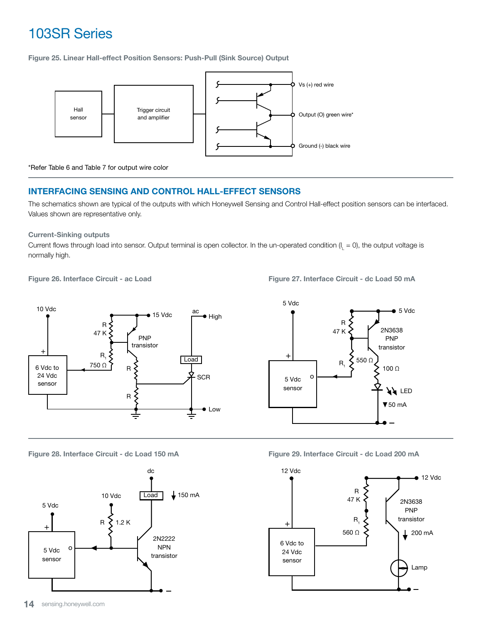Figure 25. Linear Hall-effect Position Sensors: Push-Pull (Sink Source) Output



\*Refer Table 6 and Table 7 for output wire color

### INTERFACING SENSING AND CONTROL HALL-EFFECT SENSORS

The schematics shown are typical of the outputs with which Honeywell Sensing and Control Hall-effect position sensors can be interfaced. Values shown are representative only.

### Current-Sinking outputs

Current flows through load into sensor. Output terminal is open collector. In the un-operated condition (I<sub>L</sub> = 0), the output voltage is normally high.

Figure 26. Interface Circuit - ac Load

Figure 27. Interface Circuit - dc Load 50 mA



Figure 28. Interface Circuit - dc Load 150 mA



Figure 29. Interface Circuit - dc Load 200 mA

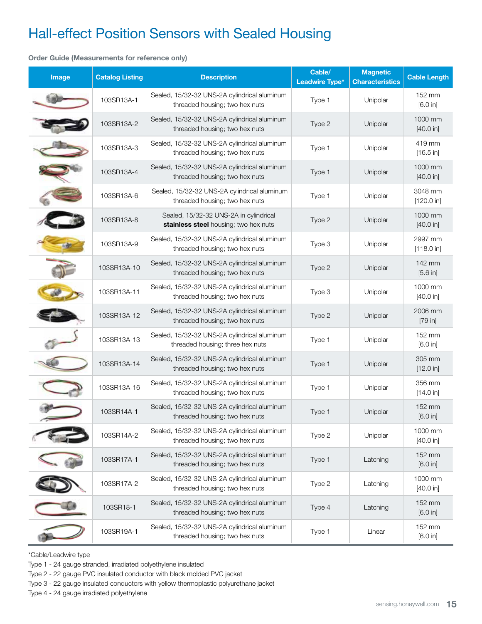#### Order Guide (Measurements for reference only)

| Image | <b>Catalog Listing</b> | <b>Description</b>                                                               |        | <b>Magnetic</b><br><b>Characteristics</b> | <b>Cable Length</b>   |  |
|-------|------------------------|----------------------------------------------------------------------------------|--------|-------------------------------------------|-----------------------|--|
|       | 103SR13A-1             | Sealed, 15/32-32 UNS-2A cylindrical aluminum<br>threaded housing; two hex nuts   | Type 1 | Unipolar                                  | 152 mm<br>[6.0 in]    |  |
|       | 103SR13A-2             | Sealed, 15/32-32 UNS-2A cylindrical aluminum<br>threaded housing; two hex nuts   | Type 2 | Unipolar                                  | 1000 mm<br>[40.0 in]  |  |
|       | 103SR13A-3             | Sealed, 15/32-32 UNS-2A cylindrical aluminum<br>threaded housing; two hex nuts   | Type 1 | Unipolar                                  | 419 mm<br>[16.5 in]   |  |
|       | 103SR13A-4             | Sealed, 15/32-32 UNS-2A cylindrical aluminum<br>threaded housing; two hex nuts   | Type 1 | Unipolar                                  | 1000 mm<br>[40.0 in]  |  |
|       | 103SR13A-6             | Sealed, 15/32-32 UNS-2A cylindrical aluminum<br>threaded housing; two hex nuts   | Type 1 | Unipolar                                  | 3048 mm<br>[120.0 in] |  |
|       | 103SR13A-8             | Sealed, 15/32-32 UNS-2A in cylindrical<br>stainless steel housing; two hex nuts  | Type 2 | Unipolar                                  | 1000 mm<br>[40.0 in]  |  |
|       | 103SR13A-9             | Sealed, 15/32-32 UNS-2A cylindrical aluminum<br>threaded housing; two hex nuts   | Type 3 | Unipolar                                  | 2997 mm<br>[118.0 in] |  |
|       | 103SR13A-10            | Sealed, 15/32-32 UNS-2A cylindrical aluminum<br>threaded housing; two hex nuts   | Type 2 | Unipolar                                  | 142 mm<br>[5.6 in]    |  |
|       | 103SR13A-11            | Sealed, 15/32-32 UNS-2A cylindrical aluminum<br>threaded housing; two hex nuts   | Type 3 | Unipolar                                  | 1000 mm<br>[40.0 in]  |  |
|       | 103SR13A-12            | Sealed, 15/32-32 UNS-2A cylindrical aluminum<br>threaded housing; two hex nuts   | Type 2 | Unipolar                                  | 2006 mm<br>[79 in]    |  |
|       | 103SR13A-13            | Sealed, 15/32-32 UNS-2A cylindrical aluminum<br>threaded housing; three hex nuts | Type 1 | Unipolar                                  | 152 mm<br>[6.0 in]    |  |
|       | 103SR13A-14            | Sealed, 15/32-32 UNS-2A cylindrical aluminum<br>threaded housing; two hex nuts   | Type 1 | Unipolar                                  | 305 mm<br>[12.0 in]   |  |
|       | 103SR13A-16            | Sealed, 15/32-32 UNS-2A cylindrical aluminum<br>threaded housing; two hex nuts   | Type 1 | Unipolar                                  | 356 mm<br>[14.0 in]   |  |
|       | 103SR14A-1             | Sealed, 15/32-32 UNS-2A cylindrical aluminum<br>threaded housing; two hex nuts   | Type 1 | Unipolar                                  | 152 mm<br>[6.0 in]    |  |
|       | 103SR14A-2             | Sealed, 15/32-32 UNS-2A cylindrical aluminum<br>threaded housing; two hex nuts   | Type 2 | Unipolar                                  | 1000 mm<br>[40.0 in]  |  |
|       | 103SR17A-1             | Sealed, 15/32-32 UNS-2A cylindrical aluminum<br>threaded housing; two hex nuts   | Type 1 | Latching                                  | 152 mm<br>[6.0 in]    |  |
|       | 103SR17A-2             | Sealed, 15/32-32 UNS-2A cylindrical aluminum<br>threaded housing; two hex nuts   | Type 2 | Latching                                  | 1000 mm<br>[40.0 in]  |  |
|       | 103SR18-1              | Sealed, 15/32-32 UNS-2A cylindrical aluminum<br>threaded housing; two hex nuts   | Type 4 | Latching                                  | 152 mm<br>[6.0 in]    |  |
|       | 103SR19A-1             | Sealed, 15/32-32 UNS-2A cylindrical aluminum<br>threaded housing; two hex nuts   | Type 1 | Linear                                    | 152 mm<br>[6.0 in]    |  |

\*Cable/Leadwire type

Type 1 - 24 gauge stranded, irradiated polyethylene insulated

Type 2 - 22 gauge PVC insulated conductor with black molded PVC jacket

Type 3 - 22 gauge insulated conductors with yellow thermoplastic polyurethane jacket

Type 4 - 24 gauge irradiated polyethylene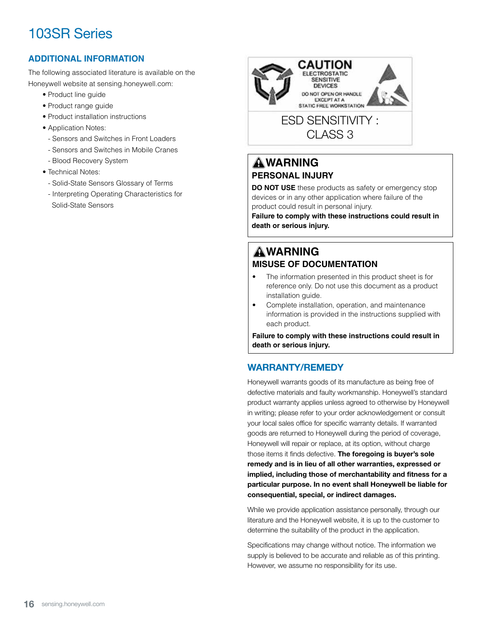### **ADDITIONAL INFORMATION**

The following associated literature is available on the Honeywell website at sensing.honeywell.com:

- Product line guide
- Product range guide
- Product installation instructions
- Application Notes:
- Sensors and Switches in Front Loaders
- Sensors and Switches in Mobile Cranes
- Blood Recovery System
- Technical Notes:
	- Solid-State Sensors Glossary of Terms
	- Interpreting Operating Characteristics for Solid-State Sensors



### **AWARNING PERSONAL INJURY**

**DO NOT USE** these products as safety or emergency stop devices or in any other application where failure of the product could result in personal injury.

**Failure to comply with these instructions could result in death or serious injury.**

### **WARNING MISUSE OF DOCUMENTATION**

- The information presented in this product sheet is for reference only. Do not use this document as a product installation guide.
- Complete installation, operation, and maintenance information is provided in the instructions supplied with each product.

**Failure to comply with these instructions could result in death or serious injury.**

### WARRANTY/REMEDY

Honeywell warrants goods of its manufacture as being free of defective materials and faulty workmanship. Honeywell's standard product warranty applies unless agreed to otherwise by Honeywell in writing; please refer to your order acknowledgement or consult your local sales office for specific warranty details. If warranted goods are returned to Honeywell during the period of coverage, Honeywell will repair or replace, at its option, without charge those items it finds defective. The foregoing is buyer's sole remedy and is in lieu of all other warranties, expressed or implied, including those of merchantability and fitness for a particular purpose. In no event shall Honeywell be liable for consequential, special, or indirect damages.

While we provide application assistance personally, through our literature and the Honeywell website, it is up to the customer to determine the suitability of the product in the application.

Specifications may change without notice. The information we supply is believed to be accurate and reliable as of this printing. However, we assume no responsibility for its use.